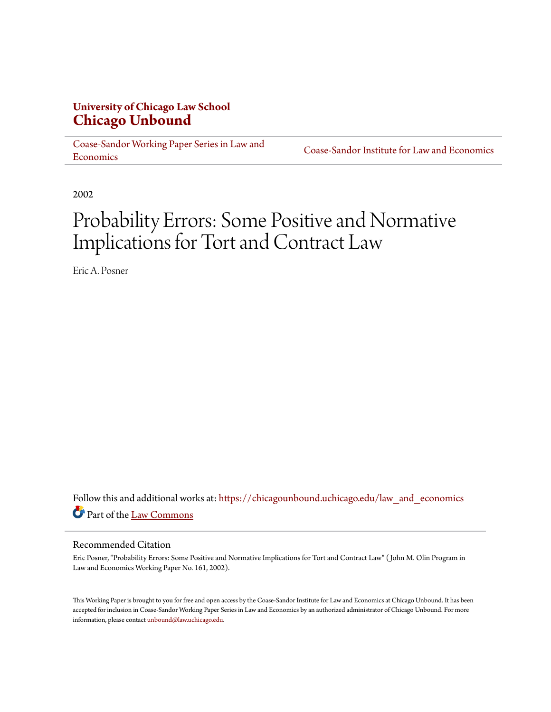# **University of Chicago Law School [Chicago Unbound](https://chicagounbound.uchicago.edu?utm_source=chicagounbound.uchicago.edu%2Flaw_and_economics%2F384&utm_medium=PDF&utm_campaign=PDFCoverPages)**

[Coase-Sandor Working Paper Series in Law and](https://chicagounbound.uchicago.edu/law_and_economics?utm_source=chicagounbound.uchicago.edu%2Flaw_and_economics%2F384&utm_medium=PDF&utm_campaign=PDFCoverPages) [Economics](https://chicagounbound.uchicago.edu/law_and_economics?utm_source=chicagounbound.uchicago.edu%2Flaw_and_economics%2F384&utm_medium=PDF&utm_campaign=PDFCoverPages)

[Coase-Sandor Institute for Law and Economics](https://chicagounbound.uchicago.edu/coase_sandor_institute?utm_source=chicagounbound.uchicago.edu%2Flaw_and_economics%2F384&utm_medium=PDF&utm_campaign=PDFCoverPages)

2002

# Probability Errors: Some Positive and Normative Implications for Tort and Contract Law

Eric A. Posner

Follow this and additional works at: [https://chicagounbound.uchicago.edu/law\\_and\\_economics](https://chicagounbound.uchicago.edu/law_and_economics?utm_source=chicagounbound.uchicago.edu%2Flaw_and_economics%2F384&utm_medium=PDF&utm_campaign=PDFCoverPages) Part of the [Law Commons](http://network.bepress.com/hgg/discipline/578?utm_source=chicagounbound.uchicago.edu%2Flaw_and_economics%2F384&utm_medium=PDF&utm_campaign=PDFCoverPages)

#### Recommended Citation

Eric Posner, "Probability Errors: Some Positive and Normative Implications for Tort and Contract Law" ( John M. Olin Program in Law and Economics Working Paper No. 161, 2002).

This Working Paper is brought to you for free and open access by the Coase-Sandor Institute for Law and Economics at Chicago Unbound. It has been accepted for inclusion in Coase-Sandor Working Paper Series in Law and Economics by an authorized administrator of Chicago Unbound. For more information, please contact [unbound@law.uchicago.edu.](mailto:unbound@law.uchicago.edu)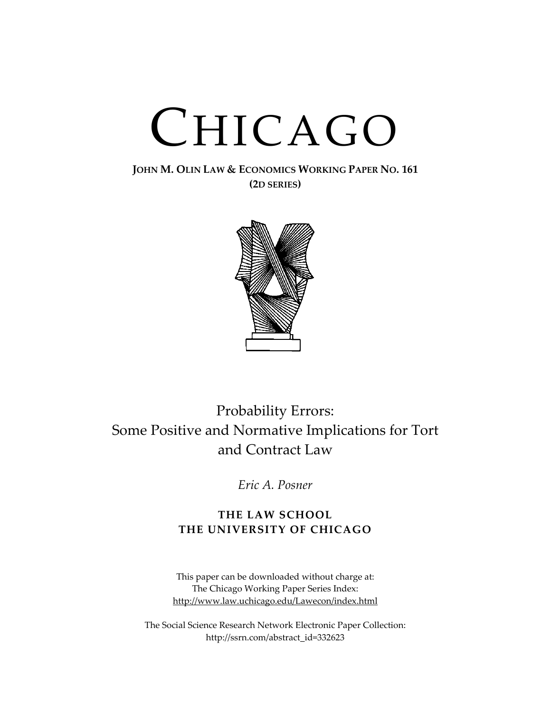# CHICAGO

### **JOHN M. OLIN LAW & ECONOMICS WORKING PAPER NO. 161 (2D SERIES)**



# Probability Errors: Some Positive and Normative Implications for Tort and Contract Law

*Eric A. Posner* 

# **THE LAW SCHOOL THE UNIVERSITY OF CHICAGO**

This paper can be downloaded without charge at: The Chicago Working Paper Series Index: h ttp://www.law.uchicago.edu/Lawecon/index.html

The Social Science Research [Network Electronic](http://www.law.uchicago.edu/Publications/Working/index.html) Paper Collection: http://ssrn.com/abstract\_id=332623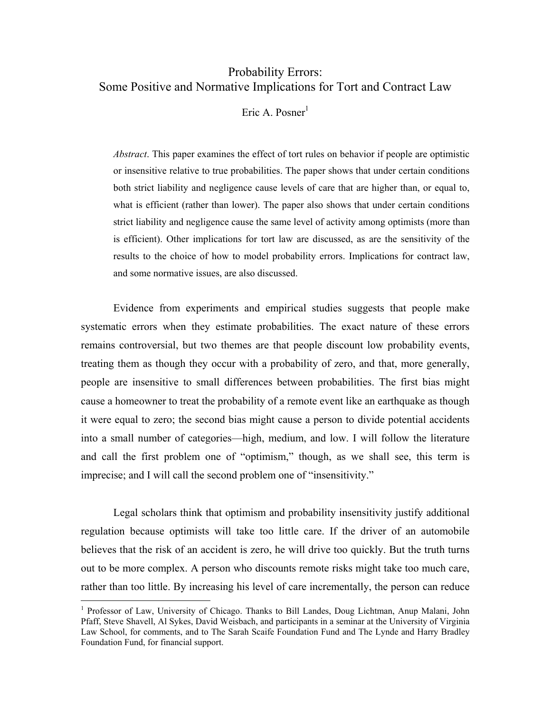## Probability Errors: Some Positive and N[ormative Implications](http://papers.ssrn.com/sol3/search.taf) for Tort and Contract Law

Eric A.  $Posner<sup>1</sup>$  $Posner<sup>1</sup>$  $Posner<sup>1</sup>$ 

*Abstract*. This paper examines the effect of tort rules on behavior if people are optimistic or insensitive relative to true probabilities. The paper shows that under certain conditions both strict liability and negligence cause levels of care that are higher than, or equal to, what is efficient (rather than lower). The paper also shows that under certain conditions strict liability and negligence cause the same level of activity among optimists (more than is efficient). Other implications for tort law are discussed, as are the sensitivity of the results to the choice of how to model probability errors. Implications for contract law, and some normative issues, are also discussed.

Evidence from experiments and empirical studies suggests that people make systematic errors when they estimate probabilities. The exact nature of these errors remains controversial, but two themes are that people discount low probability events, treating them as though they occur with a probability of zero, and that, more generally, people are insensitive to small differences between probabilities. The first bias might cause a homeowner to treat the probability of a remote event like an earthquake as though it were equal to zero; the second bias might cause a person to divide potential accidents into a small number of categories—high, medium, and low. I will follow the literature and call the first problem one of "optimism," though, as we shall see, this term is imprecise; and I will call the second problem one of "insensitivity."

Legal scholars think that optimism and probability insensitivity justify additional regulation because optimists will take too little care. If the driver of an automobile believes that the risk of an accident is zero, he will drive too quickly. But the truth turns out to be more complex. A person who discounts remote risks might take too much care, rather than too little. By increasing his level of care incrementally, the person can reduce

 $\overline{a}$ 

<span id="page-2-0"></span><sup>&</sup>lt;sup>1</sup> Professor of Law, University of Chicago. Thanks to Bill Landes, Doug Lichtman, Anup Malani, John Pfaff, Steve Shavell, Al Sykes, David Weisbach, and participants in a seminar at the University of Virginia Law School, for comments, and to The Sarah Scaife Foundation Fund and The Lynde and Harry Bradley Foundation Fund, for financial support.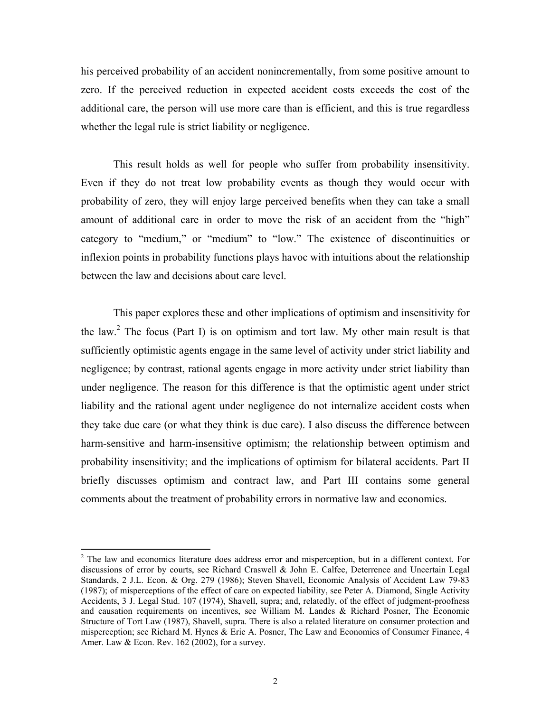his perceived probability of an accident nonincrementally, from some positive amount to zero. If the perceived reduction in expected accident costs exceeds the cost of the additional care, the person will use more care than is efficient, and this is true regardless whether the legal rule is strict liability or negligence.

Even i f they do not treat low probability events as though they would occur with probab ility of zero, they will enjoy large perceived benefits when they can take a small amount of additional care in order to move the risk of an accident from the "high" categor y to "medium," or "medium" to "low." The existence of discontinuities or inflexio n points in probability functions plays havoc with intuitions about the relationship betwee n the law and decisions about care level. This result holds as well for people who suffer from probability insensitivity.

briefly discusses optimism and contract law, and Part III contains some general omments about the treatment of probability errors in normative law and economics. c This paper explores these and other implications of optimism and insensitivity for the law.<sup>[2](#page-3-0)</sup> The focus (Part I) is on optimism and tort law. My other main result is that sufficiently optimistic agents engage in the same level of activity under strict liability and negligence; by contrast, rational agents engage in more activity under strict liability than under negligence. The reason for this difference is that the optimistic agent under strict liability and the rational agent under negligence do not internalize accident costs when they take due care (or what they think is due care). I also discuss the difference between harm-sensitive and harm-insensitive optimism; the relationship between optimism and probability insensitivity; and the implications of optimism for bilateral accidents. Part II

 $\overline{a}$ 

<span id="page-3-0"></span><sup>&</sup>lt;sup>2</sup> The law and economics literature does address error and misperception, but in a different context. For discussions of error by courts, see Richard Craswell & John E. Calfee, Deterrence and Uncertain Legal Standards, 2 J.L. Econ. & Org. 279 (1986); Steven Shavell, Economic Analysis of Accident Law 79-83 (1987); of misperceptions of the effect of care on expected liability, see Peter A. Diamond, Single Activity Accidents, 3 J. Legal Stud. 107 (1974), Shavell, supra; and, relatedly, of the effect of judgment-proofness Amer. Law  $&$  Econ. Rev. 162 (2002), for a survey. and causation requirements on incentives, see William M. Landes & Richard Posner, The Economic Structure of Tort Law (1987), Shavell, supra. There is also a related literature on consumer protection and misperception; see Richard M. Hynes & Eric A. Posner, The Law and Economics of Consumer Finance, 4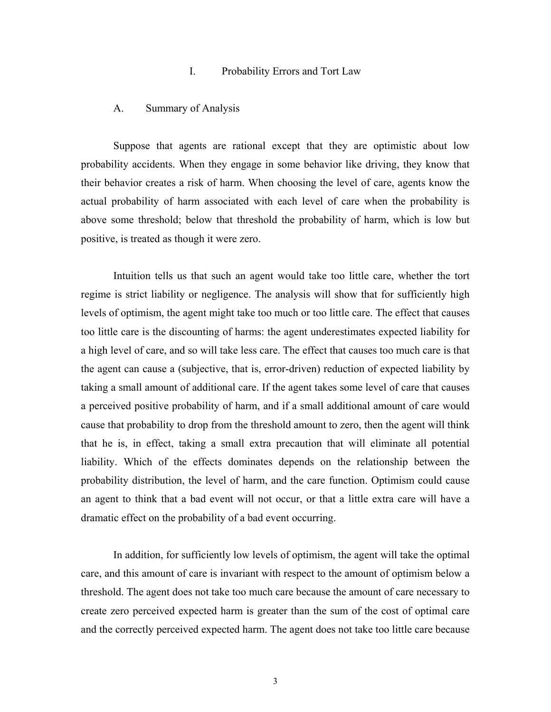#### I. Probability Errors and Tort Law

#### A. Summary of Analysis

Suppose that agents are rational except that they are optimistic about low probability accidents. When they engage in some behavior like driving, they know that their behavior creates a risk of harm. When choosing the level of care, agents know the actual probability of harm associated with each level of care when the probability is above some threshold; below that threshold the probability of harm, which is low but positive, is treated as though it were zero.

Intuition tells us that such an agent would take too little care, whether the tort regime is strict liability or negligence. The analysis will show that for sufficiently high an agent to think that a bad event will not occur, or that a little extra care will have a dramatic effect on the probability of a bad event occurring. levels of optimism, the agent might take too much or too little care. The effect that causes too little care is the discounting of harms: the agent underestimates expected liability for a high level of care, and so will take less care. The effect that causes too much care is that the agent can cause a (subjective, that is, error-driven) reduction of expected liability by taking a small amount of additional care. If the agent takes some level of care that causes a perceived positive probability of harm, and if a small additional amount of care would cause that probability to drop from the threshold amount to zero, then the agent will think that he is, in effect, taking a small extra precaution that will eliminate all potential liability. Which of the effects dominates depends on the relationship between the probability distribution, the level of harm, and the care function. Optimism could cause

In addition, for sufficiently low levels of optimism, the agent will take the optimal care, and this amount of care is invariant with respect to the amount of optimism below a threshold. The agent does not take too much care because the amount of care necessary to create zero perceived expected harm is greater than the sum of the cost of optimal care and the correctly perceived expected harm. The agent does not take too little care because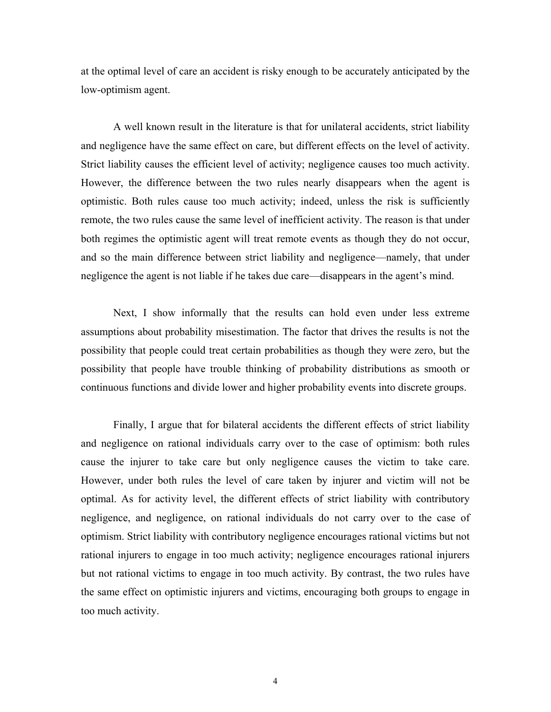at the optimal level of care an accident is risky enough to be accurately anticipated by the low-optimism agent.

A well known result in the literature is that for unilateral accidents, strict liability both regimes the optimistic agent will treat remote events as though they do not occur, and so the main difference between strict liability and negligence—namely, that under and negligence have the same effect on care, but different effects on the level of activity. Strict liability causes the efficient level of activity; negligence causes too much activity. However, the difference between the two rules nearly disappears when the agent is optimistic. Both rules cause too much activity; indeed, unless the risk is sufficiently remote, the two rules cause the same level of inefficient activity. The reason is that under negligence the agent is not liable if he takes due care—disappears in the agent's mind.

Next, I show informally that the results can hold even under less extreme assumptions about probability misestimation. The factor that drives the results is not the possibility that people could treat certain probabilities as though they were zero, but the possibility that people have trouble thinking of probability distributions as smooth or continuous functions and divide lower and higher probability events into discrete groups.

negligence, and negligence, on rational individuals do not carry over to the case of optimism. Strict liability with contributory negligence encourages rational victims but not Finally, I argue that for bilateral accidents the different effects of strict liability and negligence on rational individuals carry over to the case of optimism: both rules cause the injurer to take care but only negligence causes the victim to take care. However, under both rules the level of care taken by injurer and victim will not be optimal. As for activity level, the different effects of strict liability with contributory rational injurers to engage in too much activity; negligence encourages rational injurers but not rational victims to engage in too much activity. By contrast, the two rules have the same effect on optimistic injurers and victims, encouraging both groups to engage in too much activity.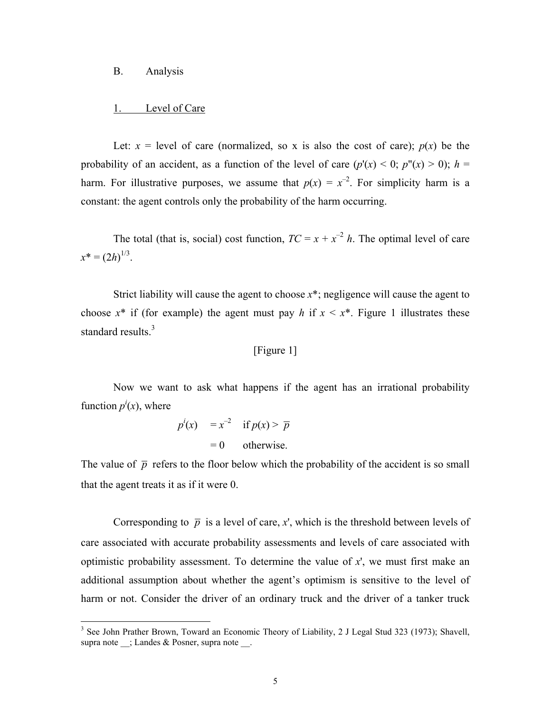#### B. Analysis

#### 1. Level of Care

Let:  $x =$  level of care (normalized, so x is also the cost of care);  $p(x)$  be the probability of an accident, as a function of the level of care  $(p'(x) < 0; p''(x) > 0)$ ;  $h =$ harm. For illustrative purposes, we assume that  $p(x) = x^{-2}$ . For simplicity harm is a constant: the agent controls only the probability of the harm occurring.

The total (that is, social) cost function,  $TC = x + x^{-2} h$ . The optimal level of care  $x^* = (2h)^{1/3}.$ 

Strict liability will cause the agent to choose  $x^*$ ; negligence will cause the agent to choose  $x^*$  if (for example) the agent must pay *h* if  $x < x^*$ . Figure 1 illustrates these standard results.<sup>[3](#page-6-0)</sup>

#### [Figure 1]

function  $p^i(x)$ , where Now we want to ask what happens if the agent has an irrational probability

$$
p^{i}(x) = x^{-2} \quad \text{if } p(x) > \overline{p}
$$

$$
= 0 \quad \text{otherwise.}
$$

The value of  $\bar{p}$  refers to the floor below which the probability of the accident is so small that the agent treats it as if it were 0.

Corresponding to  $\bar{p}$  is a level of care, x', which is the threshold between levels of care associated with accurate probability assessments and levels of care associated with optimistic probability assessment. To determine the value of *x*', we must first make an additional assumption about whether the agent's optimism is sensitive to the level of harm or not. Consider the driver of an ordinary truck and the driver of a tanker truck

<span id="page-6-0"></span><sup>&</sup>lt;sup>3</sup> See John Prather Brown, Toward an Economic Theory of Liability, 2 J Legal Stud 323 (1973); Shavell, supra note  $\therefore$  Landes & Posner, supra note  $\therefore$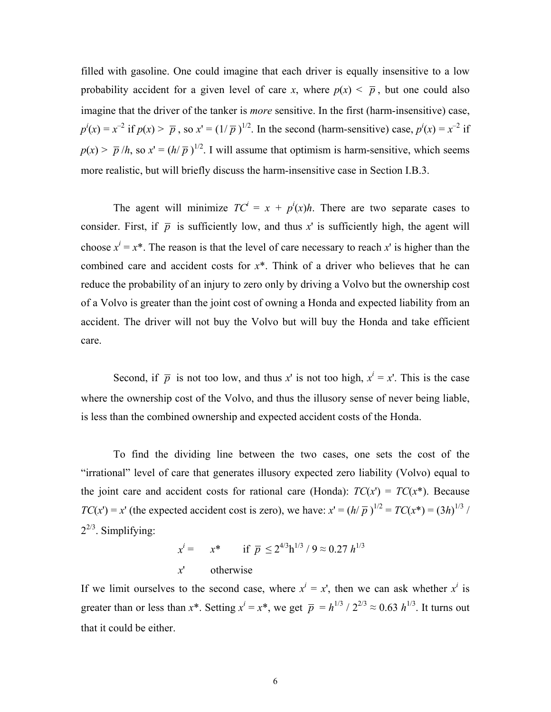filled with gasoline. One could imagine that each driver is equally insensitive to a low probability accident for a given level of care *x*, where  $p(x) \leq \overline{p}$ , but one could also imagine that the driver of the tanker is *more* sensitive. In the first (harm-insensitive) case,  $p^{i}(x) = x^{-2}$  if  $p(x) > \bar{p}$ , so  $x^{i} = (1/\bar{p})^{1/2}$ . In the second (harm-sensitive) case,  $p^{i}(x) = x^{-2}$  if  $p(x)$  >  $\bar{p}/h$ , so  $x' = (h/\bar{p})^{1/2}$ . I will assume that optimism is harm-sensitive, which seems more realistic, but will briefly discuss the harm-insensitive case in Section I.B.3.

The agent will minimize  $TC^i = x + p^i(x)h$ . There are two separate cases to consider. First, if  $\bar{p}$  is sufficiently low, and thus x' is sufficiently high, the agent will choose  $x^i = x^*$ . The reason is that the level of care necessary to reach x' is higher than the combined care and accident costs for *x*\*. Think of a driver who believes that he can reduce the probability of an injury to zero only by driving a Volvo but the ownership cost of a Volvo is greater than the joint cost of owning a Honda and expected liability from an accident. The driver will not buy the Volvo but will buy the Honda and take efficient care.

Second, if  $\overline{p}$  is not too low, and thus *x*' is not too high,  $x^i = x$ '. This is the case where the ownership cost of the Volvo, and thus the illusory sense of never being liable, is less than the combined ownership and expected accident costs of the Honda.

To find the dividing line between the two cases, one sets the cost of the "irrational" level of care that generates illusory expected zero liability (Volvo) equal to the joint care and accident costs for rational care (Honda):  $TC(x') = TC(x^*)$ . Because  $TC(x') = x'$  (the expected accident cost is zero), we have:  $x' = (h/\overline{p})^{1/2} = TC(x^*) = (3h)^{1/3}$  /  $2^{2/3}$ . Simplifying:

 *x i* = *x*<sup>\*</sup> if  $\bar{p}$  ≤ 2<sup>4/3</sup>*h*<sup>1/3</sup> / 9 ≈ 0.27 *h*<sup>1/3</sup> *x*' otherwise

If we limit ourselves to the second case, where  $x^i = x^i$ , then we can ask whether  $x^i$  is greater than or less than  $x^*$ . Setting  $x^i = x^*$ , we get  $\overline{p} = h^{1/3} / 2^{2/3} \approx 0.63 h^{1/3}$ . It turns out that it could be either.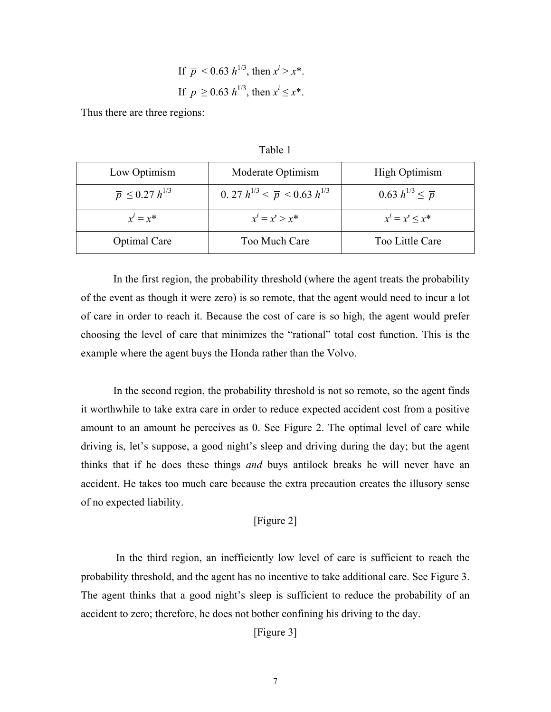If 
$$
\overline{p} < 0.63 h^{1/3}
$$
, then  $x^i > x^*$ .  
If  $\overline{p} \ge 0.63 h^{1/3}$ , then  $x^i \le x^*$ .

Thus there are three regions:

| Table 1 |
|---------|
|---------|

| Low Optimism               | Moderate Optimism                             | High Optimism               |
|----------------------------|-----------------------------------------------|-----------------------------|
| $\bar{p} \le 0.27 h^{1/3}$ | 0. 27 $h^{1/3} < \overline{p} < 0.63 h^{1/3}$ | $0.63 h^{1/3} \leq \bar{p}$ |
| $x^i = x^*$                | $x^{i} = x^{i} > x^{*}$                       | $x^i = x^i \leq x^*$        |
| <b>Optimal Care</b>        | Too Much Care                                 | Too Little Care             |

In the first region, the probability threshold (where the agent treats the probability of the event as though it were zero) is so remote, that the agent would need to incur a lot of care in order to reach it. Because the cost of care is so high, the agent would prefer choosing the level of care that minimizes the "rational" total cost function. This is the example where the agent buys the Honda rather than the Volvo.

it worthwhile to take extra care in order to reduce expected accident cost from a positive amount to an amount he perceives as 0. See Figure 2. The optimal level of care while driving is, let's suppose, a good night's sleep and driving during the day; but the agent thinks that if he does these things *and* buys antilock breaks he will never have an accident. He takes too much care because the extra precaution creates the illusory sense of no expected liability. In the second region, the probability threshold is not so remote, so the agent finds

#### [Figure 2]

In the third region, an inefficiently low level of care is sufficient to reach the probability threshold, and the agent has no incentive to take additional care. See Figure 3. The agent thinks that a good night's sleep is sufficient to reduce the probability of an accident to zero; therefore, he does not bother confining his driving to the day.

[Figure 3]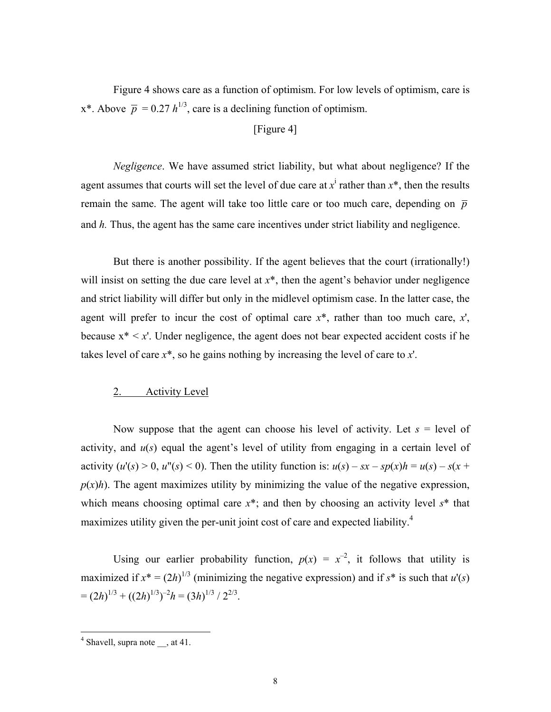Figure 4 shows care as a function of optimism. For low levels of optimism, care is  $x^*$ . Above  $\bar{p} = 0.27 h^{1/3}$ , care is a declining function of optimism.

#### [Figure 4]

*Negligence*. We have assumed strict liability, but what about negligence? If the agent assumes that courts will set the level of due care at  $x^i$  rather than  $x^*$ , then the results remain the same. The agent will take too little care or too much care, depending on  $\bar{p}$ and *h.* Thus, the agent has the same care incentives under strict liability and negligence.

But there is another possibility. If the agent believes that the court (irrationally!) takes level of care  $x^*$ , so he gains nothing by increasing the level of care to  $x'$ . will insist on setting the due care level at  $x^*$ , then the agent's behavior under negligence and strict liability will differ but only in the midlevel optimism case. In the latter case, the agent will prefer to incur the cost of optimal care  $x^*$ , rather than too much care,  $x'$ , because  $x^* \leq x'$ . Under negligence, the agent does not bear expected accident costs if he

#### 2. Activity Level

Now suppose that the agent can choose his level of activity. Let *s* = level of activity, and *u*(*s*) equal the agent's level of utility from engaging in a certain level of activity  $(u'(s) > 0, u''(s) < 0)$ . Then the utility function is:  $u(s) - sx - sp(x)h = u(s) - s(x +$  $p(x)h$ ). The agent maximizes utility by minimizing the value of the negative expression, which means choosing optimal care *x*\*; and then by choosing an activity level *s*\* that maximizes utility given the per-unit joint cost of care and expected liability.<sup>[4](#page-9-0)</sup>

Using our earlier probability function,  $p(x) = x^{-2}$ , it follows that utility is maximized if  $x^* = (2h)^{1/3}$  (minimizing the negative expression) and if  $s^*$  is such that  $u'(s)$  $=(2h)^{1/3} + ((2h)^{1/3})^{-2}h = (3h)^{1/3}/2^{2/3}.$ 

<span id="page-9-0"></span> $4$  Shavell, supra note , at 41.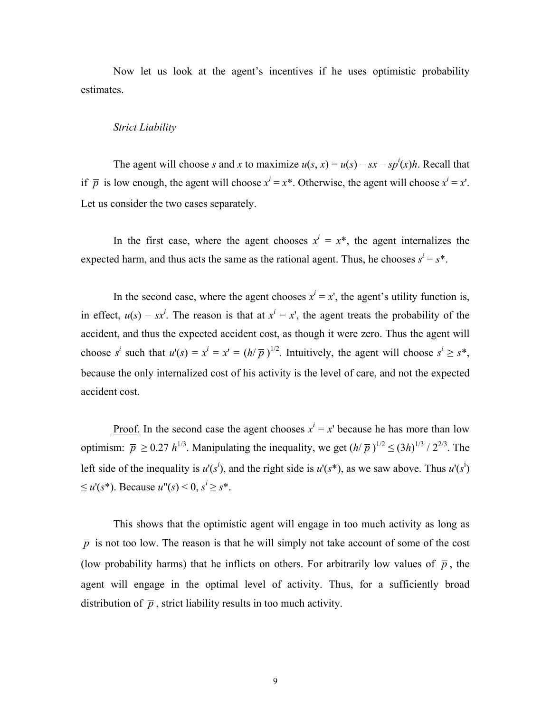Now let us look at the agent's incentives if he uses optimistic probability estimates.

#### *Strict Liability*

The agent will choose *s* and *x* to maximize  $u(s, x) = u(s) - sx - sp^{i}(x)h$ . Recall that if  $\overline{p}$  is low enough, the agent will choose  $x^i = x^*$ . Otherwise, the agent will choose  $x^i = x^*$ . Let us consider the two cases separately.

In the first case, where the agent chooses  $x^i = x^*$ , the agent internalizes the expected harm, and thus acts the same as the rational agent. Thus, he chooses  $s^i = s^*$ .

In the second case, where the agent chooses  $x^i = x^i$ , the agent's utility function is, in effect,  $u(s) - sx^i$ . The reason is that at  $x^i = x^i$ , the agent treats the probability of the accident, and thus the expected accident cost, as though it were zero. Thus the agent will choose  $s^i$  such that  $u'(s) = x^i = x^i = (h/\overline{p})^{1/2}$ . Intuitively, the agent will choose  $s^i \geq s^*$ , because the only internalized cost of his activity is the level of care, and not the expected accident cost.

<u>Proof</u>. In the second case the agent chooses  $x^i = x^i$  because he has more than low optimism:  $\bar{p} \ge 0.27 h^{1/3}$ . Manipulating the inequality, we get  $(h/\bar{p})^{1/2} \le (3h)^{1/3}/2^{2/3}$ . The left side of the inequality is  $u'(s^i)$ , and the right side is  $u'(s^*)$ , as we saw above. Thus  $u'(s^i)$  $\leq u'(s^*)$ . Because  $u''(s) < 0, s' \geq s^*$ .

This shows that the optimistic agent will engage in too much activity as long as  $\bar{p}$  is not too low. The reason is that he will simply not take account of some of the cost (low probability harms) that he inflicts on others. For arbitrarily low values of  $\bar{p}$ , the agent will engage in the optimal level of activity. Thus, for a sufficiently broad distribution of  $\bar{p}$ , strict liability results in too much activity.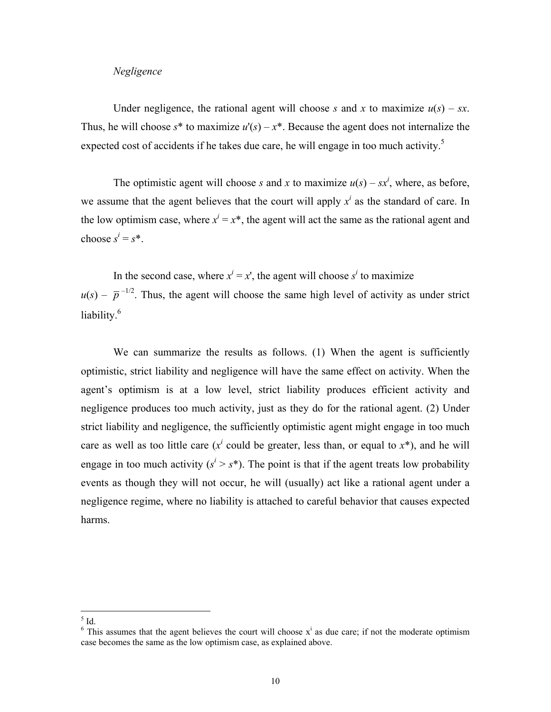#### *Negligence*

Under negligence, the rational agent will choose *s* and *x* to maximize  $u(s) - sx$ . Thus, he will choose  $s^*$  to maximize  $u'(s) - x^*$ . Because the agent does not internalize the expected cost of accidents if he takes due care, he will engage in too much activity.<sup>[5](#page-11-0)</sup>

we assume that the agent believes that the court will apply  $x^i$  as the standard of care. In the low optimism case, where  $x^i = x^*$ , the agent will act the same as the rational agent and choose  $s^i = s^*$ . The optimistic agent will choose *s* and *x* to maximize  $u(s) - sx^i$ , where, as before,

In the second case, where  $x^i = x^i$ , the agent will choose  $s^i$  to maximize  $u(s) - \overline{p}^{-1/2}$ . Thus, the agent will choose the same high level of activity as under strict liability.<sup>[6](#page-11-1)</sup>

We can summarize the results as follows. (1) When the agent is sufficiently optimistic, strict liability and negligence will have the same effect on activity. When the agent's optimism is at a low level, strict liability produces efficient activity and negligence produces too much activity, just as they do for the rational agent. (2) Under events as though they will not occur, he will (usually) act like a rational agent under a negligence regime, where no liability is attached to careful behavior that causes expected harms. strict liability and negligence, the sufficiently optimistic agent might engage in too much care as well as too little care  $(x^i \text{ could be greater, less than, or equal to } x^*)$ , and he will engage in too much activity  $(s^i > s^*)$ . The point is that if the agent treats low probability

 $\frac{1}{5}$  Id.

<span id="page-11-1"></span><span id="page-11-0"></span><sup>&</sup>lt;sup>6</sup> This assumes that the agent believes the court will choose  $x^i$  as due care; if not the moderate optimism case becomes the same as the low optimism case, as explained above.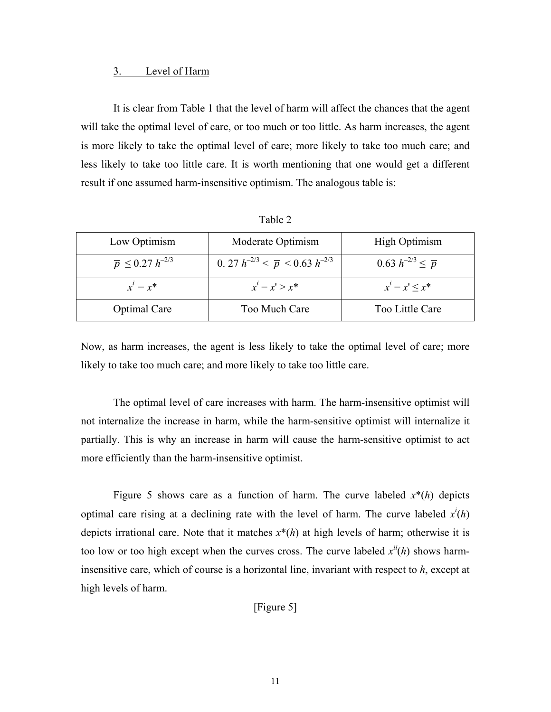#### 3. Level of Harm

is more likely to take the optimal level of care; more likely to take too much care; and less likely to take too little care. It is worth mentioning that one would get a different result i f one assumed harm-insensitive optimism. The analogous table is: It is clear from Table 1 that the level of harm will affect the chances that the agent will take the optimal level of care, or too much or too little. As harm increases, the agent

| аο | ı |  |
|----|---|--|
|    |   |  |

| Low Optimism                | Moderate Optimism                               | High Optimism                |
|-----------------------------|-------------------------------------------------|------------------------------|
| $\bar{p} \le 0.27 h^{-2/3}$ | 0. 27 $h^{-2/3} < \overline{p} < 0.63 h^{-2/3}$ | $0.63 h^{-2/3} \leq \bar{p}$ |
| $x^i = x^*$                 | $x^{i} = x^{i} > x^{*}$                         | $x^{i} = x^{i} \leq x^{*}$   |
| <b>Optimal Care</b>         | Too Much Care                                   | Too Little Care              |

Now, as harm increases, the agent is less likely to take the optimal level of care; more likely to take too much care; and more likely to take too little care.

The optimal level of care increases with harm. The harm-insensitive optimist will not internalize the increase in harm, while the harm-sensitive optimist will internalize it partially. This is why an increase in harm will cause the harm-sensitive optimist to act more efficiently than the harm-insensitive optimist.

Figure 5 shows care as a function of harm. The curve labeled  $x^*(h)$  depicts optimal care rising at a declining rate with the level of harm. The curve labeled  $x^{i}(h)$ depicts irrational care. Note that it matches  $x^*(h)$  at high levels of harm; otherwise it is too low or too high except when the curves cross. The curve labeled  $x^{ii}(h)$  shows harminsensitive care, which of course is a horizontal line, invariant with respect to *h*, except at high levels of harm.

[Figure 5]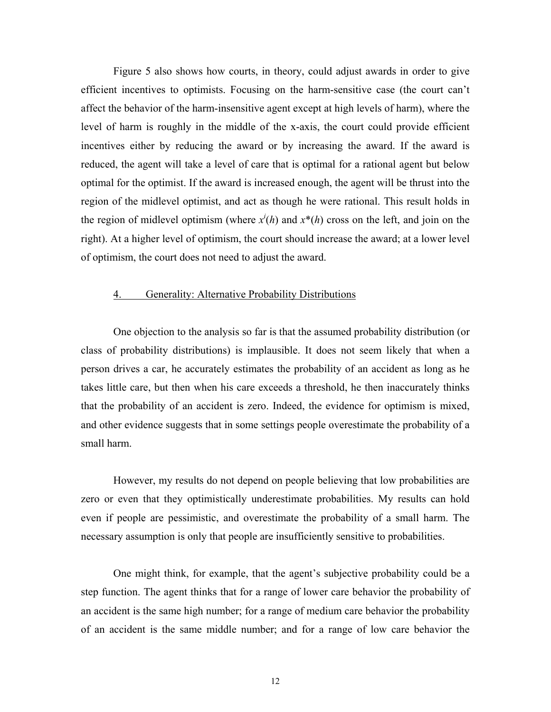Figure 5 also shows how courts, in theory, could adjust awards in order to give efficient incentives to optimists. Focusing on the harm-sensitive case (the court can't affect the behavior of the harm-insensitive agent except at high levels of harm), where the optimal for the optimist. If the award is increased enough, the agent will be thrust into the region of the midlevel optimist, and act as though he were rational. This result holds in the region of midlevel optimism (where  $x^{i}(h)$  and  $x^{*}(h)$  cross on the left, and join on the right). At a higher level of optimism, the court should increase the award; at a lower level of optimism, the court does not need to adjust the award. level of harm is roughly in the middle of the x-axis, the court could provide efficient incentives either by reducing the award or by increasing the award. If the award is reduced, the agent will take a level of care that is optimal for a rational agent but below

#### 4. Generality: Alternative Probability Distributions

One objection to the analysis so far is that the assumed probability distribution (or person drives a car, he accurately estimates the probability of an accident as long as he takes little care, but then when his care exceeds a threshold, he then inaccurately thinks class of probability distributions) is implausible. It does not seem likely that when a that the probability of an accident is zero. Indeed, the evidence for optimism is mixed, and other evidence suggests that in some settings people overestimate the probability of a small harm.

However, my results do not depend on people believing that low probabilities are zero or even that they optimistically underestimate probabilities. My results can hold even if people are pessimistic, and overestimate the probability of a small harm. The necessary assumption is only that people are insufficiently sensitive to probabilities.

step function. The agent thinks that for a range of lower care behavior the probability of an accident is the same high number; for a range of medium care behavior the probability of an accident is the same middle number; and for a range of low care behavior the One might think, for example, that the agent's subjective probability could be a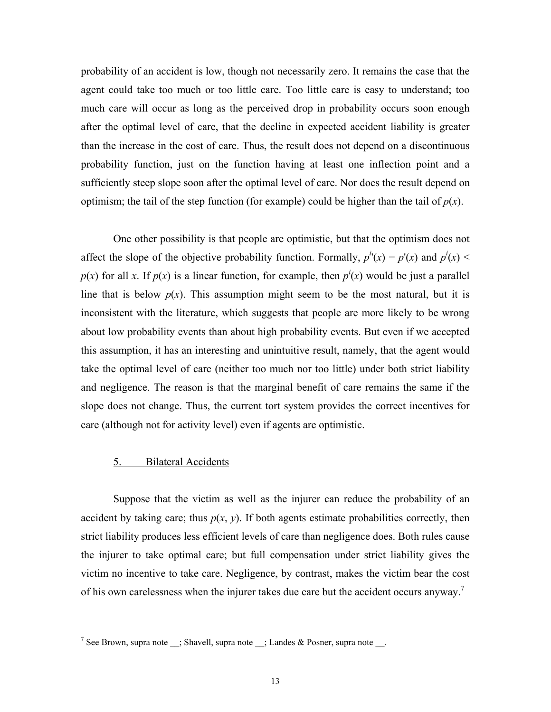probability of an accident is low, though not necessarily zero. It remains the case that the agent could take too much or too little care. Too little care is easy to understand; too much care will occur as long as the perceived drop in probability occurs soon enough after the optimal level of care, that the decline in expected accident liability is greater than the increase in the cost of care. Thus, the result does not depend on a discontinuous probability function, just on the function having at least one inflection point and a sufficiently steep slope soon after the optimal level of care. Nor does the result depend on optimism; the tail of the step function (for example) could be higher than the tail of  $p(x)$ .

One other possibility is that people are optimistic, but that the optimism does not affect the slope of the objective probability function. Formally,  $p^{i}(x) = p'(x)$  and  $p^{i}(x) <$  $p(x)$  for all *x*. If  $p(x)$  is a linear function, for example, then  $p^i(x)$  would be just a parallel line that is below  $p(x)$ . This assumption might seem to be the most natural, but it is inconsistent with the literature, which suggests that people are more likely to be wrong about low probability events than about high probability events. But even if we accepted this assumption, it has an interesting and unintuitive result, namely, that the agent would take the optimal level of care (neither too much nor too little) under both strict liability and negligence. The reason is that the marginal benefit of care remains the same if the slope does not change. Thus, the current tort system provides the correct incentives for care (although not for activity level) even if agents are optimistic.

#### 5. Bilateral Accidents

<u>.</u>

strict liability produces less efficient levels of care than negligence does. Both rules cause the injurer to take optimal care; but full compensation under strict liability gives the victim no incentive to take care. Negligence, by contrast, makes the victim bear the cost Suppose that the victim as well as the injurer can reduce the probability of an accident by taking care; thus  $p(x, y)$ . If both agents estimate probabilities correctly, then of his own carelessness when the injurer takes due care but the accident occurs anyway.<sup>[7](#page-14-0)</sup>

<span id="page-14-0"></span><sup>&</sup>lt;sup>7</sup> See Brown, supra note ; Shavell, supra note ; Landes & Posner, supra note .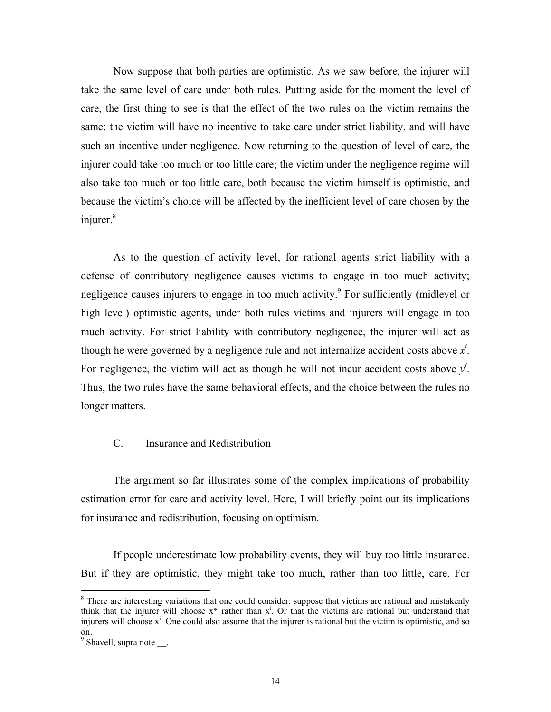Now suppose that both parties are optimistic. As we saw before, the injurer will take the same level of care under both rules. Putting aside for the moment the level of care, the first thing to see is that the effect of the two rules on the victim remains the same: the victim will have no incentive to take care under strict liability, and will have such an incentive under negligence. Now returning to the question of level of care, the injurer could take too much or too little care; the victim under the negligence regime will also take too much or too little care, both because the victim himself is optimistic, and because the victim's choice will be affected by the inefficient level of care chosen by the injurer.<sup>[8](#page-15-0)</sup>

As to the question of activity level, for rational agents strict liability with a defense of contributory negligence causes victims to engage in too much activity; negligence causes injurers to engage in too much activity.<sup>9</sup> For sufficiently (midlevel or high level) optimistic agents, under both rules victims and injurers will engage in too much activity. For strict liability with contributory negligence, the injurer will act as though he were governed by a negligence rule and not internalize accident costs above  $x<sup>i</sup>$ . For negligence, the victim will act as though he will not incur accident costs above  $y<sup>i</sup>$ . Thus, the two rules have the same behavioral effects, and the choice between the rules no longer matters.

#### C. Insurance and Redistribution

The argument so far illustrates some of the complex implications of probability estimation error for care and activity level. Here, I will briefly point out its implications for insurance and redistribution, focusing on optimism.

If people underestimate low probability events, they will buy too little insurance. But if they are optimistic, they might take too much, rather than too little, care. For

1

<span id="page-15-0"></span><sup>&</sup>lt;sup>8</sup> There are interesting variations that one could consider: suppose that victims are rational and mistakenly think that the injurer will choose  $x^*$  rather than  $x^i$ . Or that the victims are rational but understand that injurers will choose  $x<sup>i</sup>$ . One could also assume that the injurer is rational but the victim is optimistic, and so on.

<span id="page-15-1"></span> $9^9$  Shavell, supra note  $\qquad$ .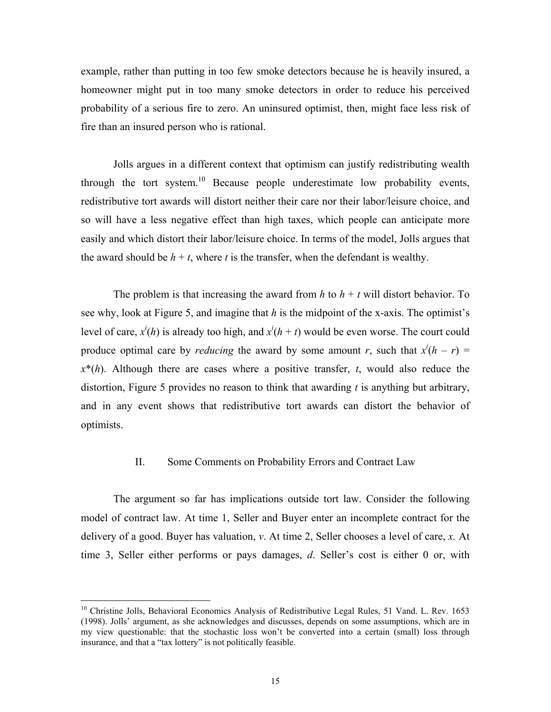example, rather than putting in too few smoke detectors because he is heavily insured, a homeowner might put in too many smoke detectors in order to reduce his perceived probability of a serious fire to zero. An uninsured optimist, then, might face less risk of fire than an insured person who is rational.

Jolls argues in a different context that optimism can justify redistributing wealth through the tort system.<sup>10</sup> Because people underestimate low probability events, redistributive tort awards will distort neither their care nor their labor/leisure choice, and so will h ave a less negative effect than high taxes, which people can anticipate more easily and which distort their labor/leisure choice. In terms of the model, Jolls argues that the award should be  $h + t$ , where *t* is the transfer, when the defendant is wealthy.

and in any event shows that redistributive tort awards can distort the behavior of optimists. The problem is that increasing the award from  $h$  to  $h + t$  will distort behavior. To see why, look at Figure 5, and imagine that *h* is the midpoint of the x-axis. The optimist's level of care,  $x^{i}(h)$  is already too high, and  $x^{i}(h + t)$  would be even worse. The court could produce optimal care by *reducing* the award by some amount *r*, such that  $x^{i}(h - r) =$  $x^*(h)$ . Although there are cases where a positive transfer, *t*, would also reduce the distortion, Figure 5 provides no reason to think that awarding *t* is anything but arbitrary,

#### II. Some Comments on Probability Errors and Contract Law

model of contract law. At time 1, Seller and Buyer enter an incomplete contract for the delivery of a good. Buyer has valuation, *v*. At time 2, Seller chooses a level of care, *x*. At time 3, Seller either performs or pays damages, *d*. Seller's cost is either 0 or, with The argument so far has implications outside tort law. Consider the following

 $\overline{a}$ 

<span id="page-16-0"></span><sup>&</sup>lt;sup>10</sup> Christine Jolls, Behavioral Economics Analysis of Redistributive Legal Rules, 51 Vand. L. Rev. 1653 (1998). Jolls' argument, as she acknowledges and discusses, depends on some assumptions, which are in my view questionable: that the stochastic loss won't be converted into a certain (small) loss through insurance, and that a "tax lottery" is not politically feasible.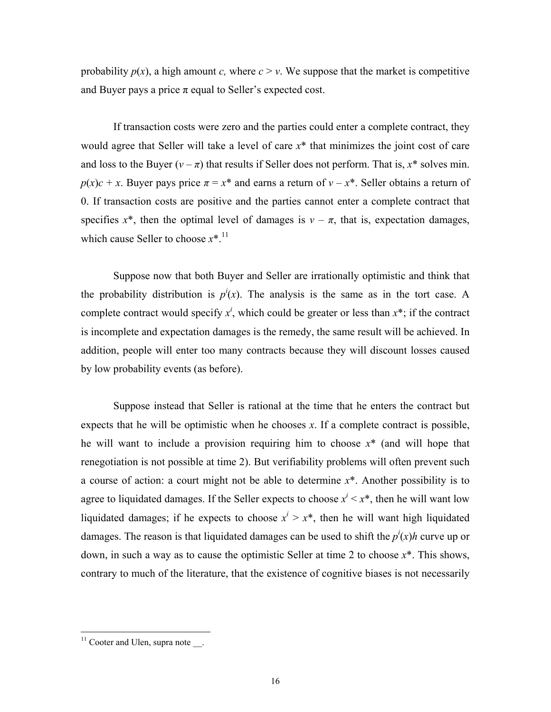probability  $p(x)$ , a high amount *c*, where  $c > v$ . We suppose that the market is competitive and Buyer pays a price  $\pi$  equal to Seller's expected cost.

If transaction costs were zero and the parties could enter a complete contract, they would agree that Seller will take a level of care  $x^*$  that minimizes the joint cost of care and loss to the Buyer  $(v - \pi)$  that results if Seller does not perform. That is,  $x^*$  solves min.  $p(x)c + x$ . Buyer pays price  $\pi = x^*$  and earns a return of  $v - x^*$ . Seller obtains a return of 0. If transaction costs are positive and the parties cannot enter a complete contract that specifies  $x^*$ , then the optimal level of damages is  $v - \pi$ , that is, expectation damages, which cause Seller to choose  $x^*$ <sup>[.11](#page-17-0)</sup>

Suppose now that both Buyer and Seller are irrationally optimistic and think that the probability distribution is  $p^i(x)$ . The analysis is the same as in the tort case. A complete contract would specify  $x^i$ , which could be greater or less than  $x^*$ ; if the contract is incomplete and expectation damages is the remedy, the same result will be achieved. In addition, people will enter too many contracts because they will discount losses caused by low probability events (as before).

expects that he will be optimistic when he chooses  $x$ . If a complete contract is possible, he will want to include a provision requiring him to choose  $x^*$  (and will hope that renegotiation is not possible at time 2). But verifiability problems will often prevent such a course of action: a court might not be able to determine  $x^*$ . Another possibility is to contrary to much of the literature, that the existence of cognitive biases is not necessarily Suppose instead that Seller is rational at the time that he enters the contract but agree to liquidated damages. If the Seller expects to choose  $x^i \leq x^*$ , then he will want low liquidated damages; if he expects to choose  $x^i > x^*$ , then he will want high liquidated damages. The reason is that liquidated damages can be used to shift the  $p^i(x)h$  curve up or down, in such a way as to cause the optimistic Seller at time 2 to choose *x*\*. This shows,

 $\overline{a}$ 

<span id="page-17-0"></span> $11$  Cooter and Ulen, supra note.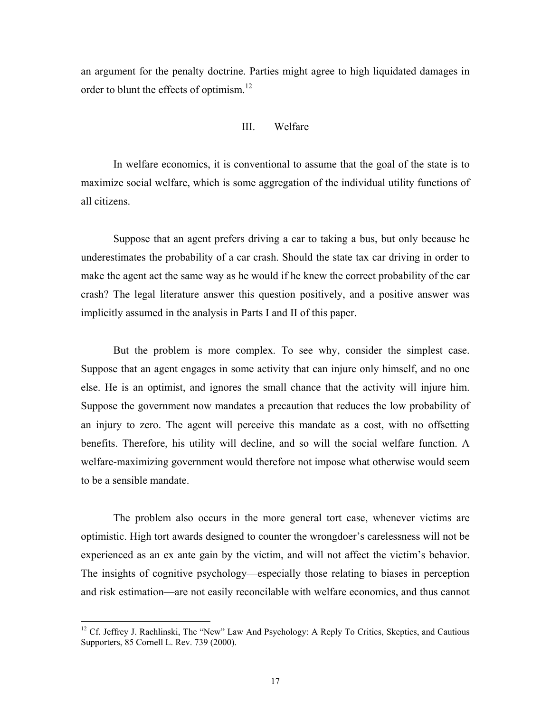an argument for the penalty doctrine. Parties might agree to high liquidated damages in order to blunt the effects of optimism.<sup>[12](#page-18-0)</sup>

#### III. Welfare

In welfare economics, it is conventional to assume that the goal of the state is to maximize social welfare, which is some aggregation of the individual utility functions of all citizens.

Suppose that an agent prefers driving a car to taking a bus, but only because he underestimates the probability of a car crash. Should the state tax car driving in order to make the agent act the same way as he would if he knew the correct probability of the car crash? The legal literature answer this question positively, and a positive answer was implicitly assumed in the analysis in Parts I and II of this paper.

Suppose that an agent engages in some activity that can injure only himself, and no one else. He is an optimist, and ignores the small chance that the activity will injure him. But the problem is more complex. To see why, consider the simplest case. Suppose the government now mandates a precaution that reduces the low probability of an injury to zero. The agent will perceive this mandate as a cost, with no offsetting benefits. Therefore, his utility will decline, and so will the social welfare function. A welfare-maximizing government would therefore not impose what otherwise would seem to be a sensible mandate.

and risk estimation—are not easily reconcilable with welfare economics, and thus cannot The problem also occurs in the more general tort case, whenever victims are optimistic. High tort awards designed to counter the wrongdoer's carelessness will not be experienced as an ex ante gain by the victim, and will not affect the victim's behavior. The insights of cognitive psychology—especially those relating to biases in perception

1

<span id="page-18-0"></span><sup>&</sup>lt;sup>12</sup> Cf. Jeffrey J. Rachlinski, The "New" Law And Psychology: A Reply To Critics, Skeptics, and Cautious Supporters, 85 Cornell L. Rev. 739 (2000).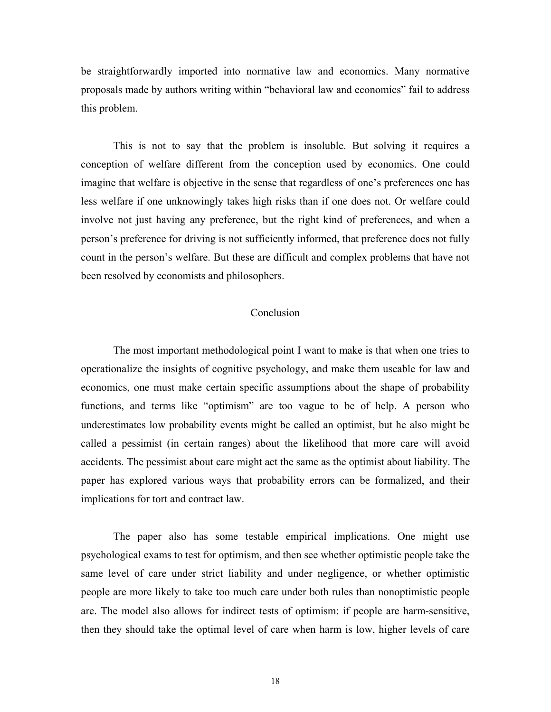be straightforwardly imported into normative law and economics. Many normative proposals made by authors writing within "behavioral law and economics" fail to address this problem.

This is not to say that the problem is insoluble. But solving it requires a less welfare if one unknowingly takes high risks than if one does not. Or welfare could involve not just having any preference, but the right kind of preferences, and when a conception of welfare different from the conception used by economics. One could imagine that welfare is objective in the sense that regardless of one's preferences one has person's preference for driving is not sufficiently informed, that preference does not fully count in the person's welfare. But these are difficult and complex problems that have not been resolved by economists and philosophers.

#### **Conclusion**

paper has explored various ways that probability errors can be formalized, and their implications for tort and contract law. The most important methodological point I want to make is that when one tries to operationalize the insights of cognitive psychology, and make them useable for law and economics, one must make certain specific assumptions about the shape of probability functions, and terms like "optimism" are too vague to be of help. A person who underestimates low probability events might be called an optimist, but he also might be called a pessimist (in certain ranges) about the likelihood that more care will avoid accidents. The pessimist about care might act the same as the optimist about liability. The

are. The model also allows for indirect tests of optimism: if people are harm-sensitive, The paper also has some testable empirical implications. One might use psychological exams to test for optimism, and then see whether optimistic people take the same level of care under strict liability and under negligence, or whether optimistic people are more likely to take too much care under both rules than nonoptimistic people then they should take the optimal level of care when harm is low, higher levels of care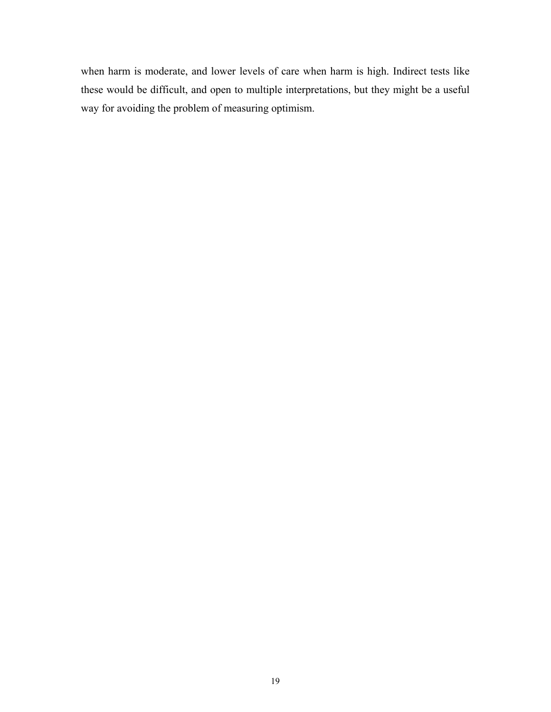when harm is moderate, and lower levels of care when harm is high. Indirect tests like these would be difficult, and open to multiple interpretations, but they might be a useful way for avoiding the problem of measuring optimism.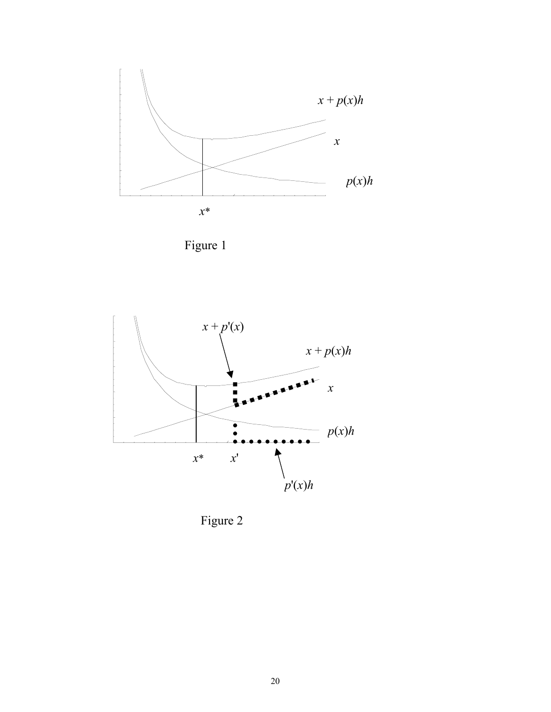





Figure 2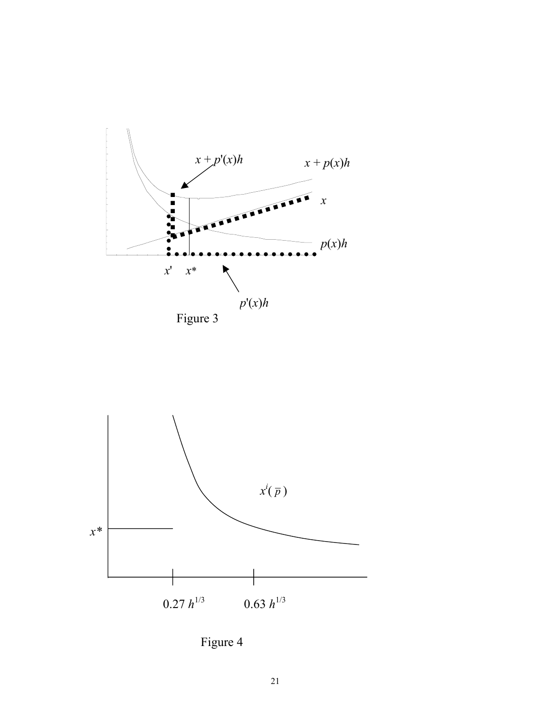



Figure 4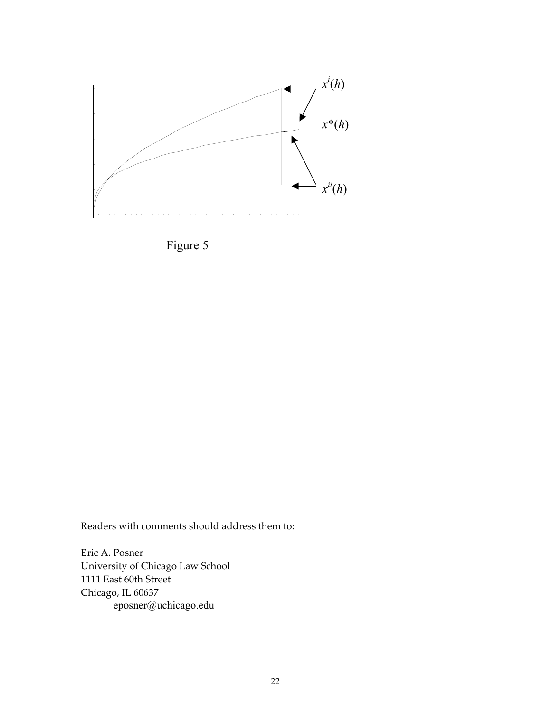

Figure 5

Readers with comments should address them to:

Eric A. Posner University of Chicago Law School 1111 East 60th Street Chicago, IL 60637 eposner@uchicago.edu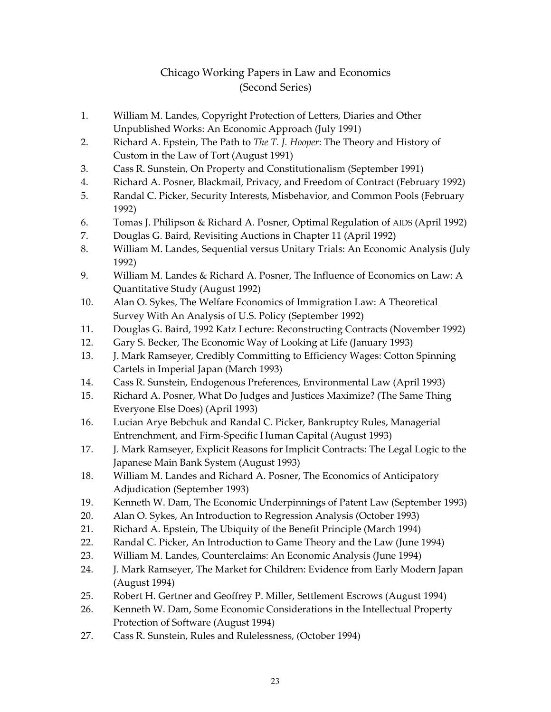## Chicago Working Papers in Law and Economics (Second Series)

- 1. William M. Landes, Copyright Protection of Letters, Diaries and Other Unpublished Works: An Economic Approach (July 1991)
- 2. Richard A. Epstein, The Path to *The T. J. Hooper*: The Theory and History of Custom in the Law of Tort (August 1991)
- 3. Cass R. Sunstein, On Property and Constitutionalism (September 1991)
- 4. Richard A. Posner, Blackmail, Privacy, and Freedom of Contract (February 1992)
- 5. Randal C. Picker, Security Interests, Misbehavior, and Common Pools (February 1992)
- 6. Tomas J. Philipson & Richard A. Posner, Optimal Regulation of AIDS (April 1992)
- 7. Douglas G. Baird, Revisiting Auctions in Chapter 11 (April 1992)
- 8. William M. Landes, Sequential versus Unitary Trials: An Economic Analysis (July 1992)
- . William M. Landes & Richard A. Posner, The Influence of Economics on Law: A Quantitative Study (August 1992) 9.
- 0. Alan O. Sykes, The Welfare Economics of Immigration Law: A Theoretical Survey With An Analysis of U.S. Policy (September 1992) 10.
- 11. Douglas G. Baird, 1992 Katz Lecture: Reconstructing Contracts (November 1992)
- 2. Gary S. Becker, The Economic Way of Looking at Life (January 1993) 12.
- 3. J. Mark Ramseyer, Credibly Committing to Efficiency Wages: Cotton Spinning Cartels in Imperial Japan (March 1993) 13.
- 4. Cass R. Sunstein, Endogenous Preferences, Environmental Law (April 1993) 14.
- 5. Richard A. Posner, What Do Judges and Justices Maximize? (The Same Thing Everyone Else Does) (April 1993) 15.
- 6. Lucian Arye Bebchuk and Randal C. Picker, Bankruptcy Rules, Managerial Entrenchment, and Firm-Specific Human Capital (August 1993)  $16.$
- 7. J. Mark Ramseyer, Explicit Reasons for Implicit Contracts: The Legal Logic to the Japanese Main Bank System (August 1993) 17.
- William M. Landes and Richard A. Posner, The Economics of Anticipatory Adjudication (September 1993) 18.
- 9. Kenneth W. Dam, The Economic Underpinnings of Patent Law (September 1993) 19.
- 0. Alan O. Sykes, An Introduction to Regression Analysis (October 1993) 20.
- 21. Richard A. Epstein, The Ubiquity of the Benefit Principle (March 1994)
- 2. Randal C. Picker, An Introduction to Game Theory and the Law (June 1994) 22.
- 23. William M. Landes, Counterclaims: An Economic Analysis (June 1994)
- 24. J. Mark Ramseyer, The Market for Children: Evidence from Early Modern Japan (August 1994)
- 25. Robert H. Gertner and Geoffrey P. Miller, Settlement Escrows (August 1994)
- 26. Kenneth W. Dam, Some Economic Considerations in the Intellectual Property Protection of Software (August 1994)
- 27. Cass R. Sunstein, Rules and Rulelessness, (October 1994)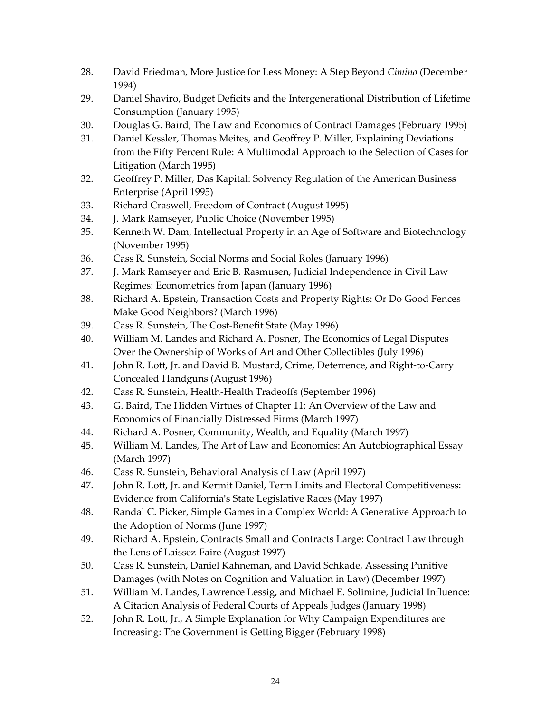- 28. David Friedman, More Justice for Less Money: A Step Beyond *Cimino* (December 1994)
- Daniel Shaviro, Budget Deficits and the Intergenerational Distribution of Lifetime 29. Consumption (January 1995)
- 30. Douglas G. Baird, The Law and Economics of Contract Damages (February 1995)
- 31. Daniel Kessler, Thomas Meites, and Geoffrey P. Miller, Explaining Deviations from the Fifty Percent Rule: A Multimodal Approach to the Selection of Cases for Litigation (March 1995)
- 32. Geoffrey P. Miller, Das Kapital: Solvency Regulation of the American Business Enterprise (April 1995)
- 33. Richard Craswell, Freedom of Contract (August 1995)
- 34. J. Mark Ramseyer, Public Choice (November 1995)
- 35. Kenneth W. Dam, Intellectual Property in an Age of Software and Biotechnology (November 1995)
- 36. Cass R. Sunstein, Social Norms and Social Roles (January 1996)
- Regimes: Econometrics from Japan (January 1996) 37. J. Mark Ramseyer and Eric B. Rasmusen, Judicial Independence in Civil Law
- 38. Richard A. Epstein, Transaction Costs and Property Rights: Or Do Good Fences Make Good Neighbors? (March 1996)
- 39. Cass R. Sunstein, The Cost-Benefit State (May 1996)
- 40. William M. Landes and Richard A. Posner, The Economics of Legal Disputes Over the Ownership of Works of Art and Other Collectibles (July 1996)
- 41. John R. Lott, Jr. and David B. Mustard, Crime, Deterrence, and Right-to-Carry Concealed Handguns (August 1996)
- 42. Cass R. Sunstein, Health-Health Tradeoffs (September 1996)
- 43. G. Baird, The Hidden Virtues of Chapter 11: An Overview of the Law and Economics of Financially Distressed Firms (March 1997)
- 44. Richard A. Posner, Community, Wealth, and Equality (March 1997)
- 45. William M. Landes, The Art of Law and Economics: An Autobiographical Essay (March 1997)
- 46. Cass R. Sunstein, Behavioral Analysis of Law (April 1997)
- 47. John R. Lott, Jr. and Kermit Daniel, Term Limits and Electoral Competitiveness: Evidence from California's State Legislative Races (May 1997)
- 48. Randal C. Picker, Simple Games in a Complex World: A Generative Approach to the Adoption of Norms (June 1997)
- 49. Richard A. Epstein, Contracts Small and Contracts Large: Contract Law through the Lens of Laissez-Faire (August 1997)
- Damages (with Notes on Cognition and Valuation in Law) (December 1997) 50. Cass R. Sunstein, Daniel Kahneman, and David Schkade, Assessing Punitive
- 51. William M. Landes, Lawrence Lessig, and Michael E. Solimine, Judicial Influence: A Citation Analysis of Federal Courts of Appeals Judges (January 1998)
- 52. John R. Lott, Jr., A Simple Explanation for Why Campaign Expenditures are Increasing: The Government is Getting Bigger (February 1998)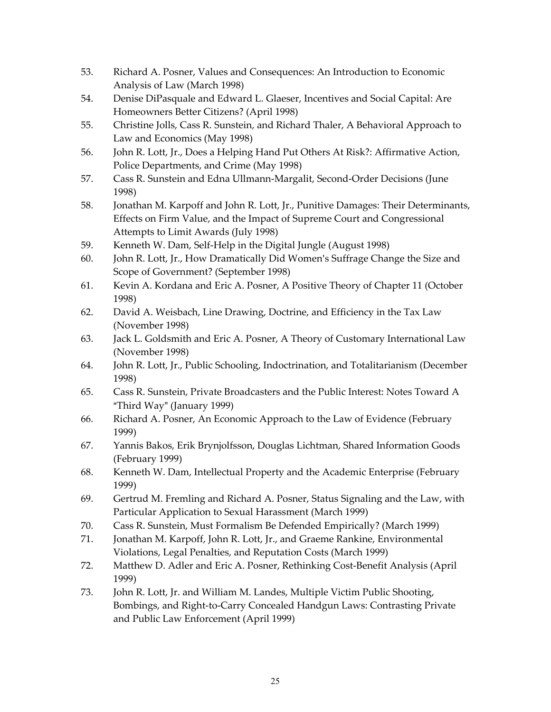- 53. Richard A. Posner, Values and Consequences: An Introduction to Economic Analysis of Law (March 1998)
- (April 1998) Homeowners Better Citizens? 54. Denise DiPasquale and Edward L. Glaeser, Incentives and Social Capital: Are
- 55. Christine Jolls, Cass R. Sunstein, and Richard Thaler, A Behavioral Approach to Law and Economics (May 1998)
- 56. Police Departments, and Crime (May 1998) John R. Lott, Jr., Does a Helping Hand Put Others At Risk?: Affirmative Action,
- 57. Cass R. Sunstein and Edna Ullmann-Margalit, Second-Order Decisions (June 1998)
- 58. Jonathan M. Karpoff and John R. Lott, Jr., Punitive Damages: Their Determinants, Effects on Firm Value, and the Impact of Supreme Court and Congressional Attempts to Limit Awards (July 1998)
- 59. Kenneth W. Dam, Self-Help in the Digital Jungle (August 1998)
- 60. John R. Lott, Jr., How Dramatically Did Women's Suffrage Change the Size and Scope of Government? (September 1998)
- 61. Kevin A. Kordana and Eric A. Posner, A Positive Theory of Chapter 11 (October 1998)
- 62. David A. Weisbach, Line Drawing, Doctrine, and Efficiency in the Tax Law (November 1998)
- 63. Jack L. Goldsmith and Eric A. Posner, A Theory of Customary International Law (November 1998)
- 64. John R. Lott, Jr., Public Schooling, Indoctrination, and Totalitarianism (December 1998)
- 65. Cass R. Sunstein, Private Broadcasters and the Public Interest: Notes Toward A "Third Way" (January 1999)
- 66. Richard A. Posner, An Economic Approach to the Law of Evidence (February 1999)
- ) (February 1999 67. Yannis Bakos, Erik Brynjolfsson, Douglas Lichtman, Shared Information Goods
- 68. Kenneth W. Dam, Intellectual Property and the Academic Enterprise (February 1999)
- 69. Gertrud M. Fremling and Richard A. Posner, Status Signaling and the Law, with Particular Application to Sexual Harassment (March 1999)
- 70. Cass R. Sunstein, Must Formalism Be Defended Empirically? (March 1999)
- Violations, Legal Penalties, and Reputation Costs (March 1999) 71. Jonathan M. Karpoff, John R. Lott, Jr., and Graeme Rankine, Environmental
- 72. Matthew D. Adler and Eric A. Posner, Rethinking Cost-Benefit Analysis (April 1999)
- Bombings, and Right-to-Carry Concealed Handgun Laws: Contrasting Private 73. John R. Lott, Jr. and William M. Landes, Multiple Victim Public Shooting, and Public Law Enforcement (April 1999)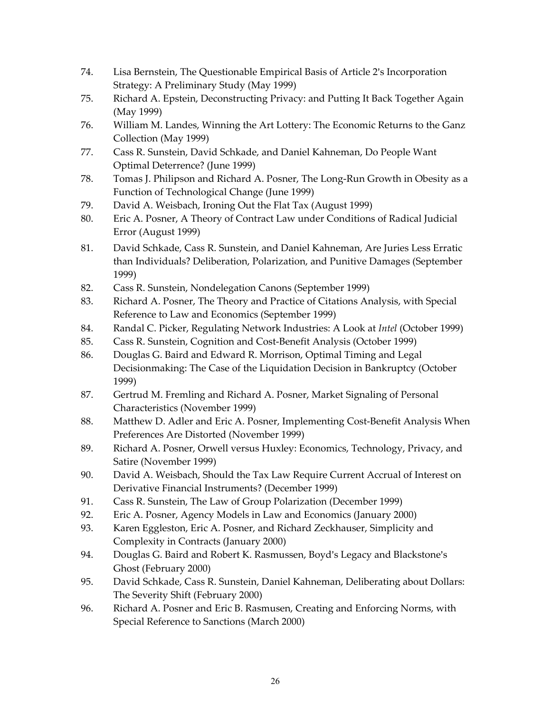- 74. Lisa Bernstein, The Questionable Empirical Basis of Article 2's Incorporation Strategy: A Preliminary Study (May 1999)
- 75. Richard A. Epstein, Deconstructing Privacy: and Putting It Back Together Again (May 1999)
- 76. William M. Landes, Winning the Art Lottery: The Economic Returns to the Ganz Collection (May 1999)
- 77. Cass R. Sunstein, David Schkade, and Daniel Kahneman, Do People Want Optimal Deterrence? (June 1999)
- 78. Tomas J. Philipson and Richard A. Posner, The Long-Run Growth in Obesity as a Function of Technological Change (June 1999)
- 79. David A. Weisbach, Ironing Out the Flat Tax (August 1999)
- 80. Eric A. Posner, A Theory of Contract Law under Conditions of Radical Judicial Error (August 1999)
- 81. David Schkade, Cass R. Sunstein, and Daniel Kahneman, Are Juries Less Erratic than Individuals? Deliberation, Polarization, and Punitive Damages (September 1999)
- 82. Cass R. Sunstein, Nondelegation Canons (September 1999)
- 83. Richard A. Posner, The Theory and Practice of Citations Analysis, with Special Reference to Law and Economics (September 1999)
- 84. Randal C. Picker, Regulating Network Industries: A Look at *Intel* (October 1999)
- 85. Cass R. Sunstein, Cognition and Cost-Benefit Analysis (October 1999)
- 86. Douglas G. Baird and Edward R. Morrison, Optimal Timing and Legal Decisionmaking: The Case of the Liquidation Decision in Bankruptcy (October 1999)
- Characteristics (November 1999) 87. Gertrud M. Fremling and Richard A. Posner, Market Signaling of Personal
- 88. Matthew D. Adler and Eric A. Posner, Implementing Cost-Benefit Analysis When Preferences Are Distorted (November 1999)
- Satire (November 1999) 89. Richard A. Posner, Orwell versus Huxley: Economics, Technology, Privacy, and
- Derivative Financial Instruments? (December 1999) 90. David A. Weisbach, Should the Tax Law Require Current Accrual of Interest on
- 91. Cass R. Sunstein, The Law of Group Polarization (December 1999)
- 92. Eric A. Posner, Agency Models in Law and Economics (January 2000)
- 93. Karen Eggleston, Eric A. Posner, and Richard Zeckhauser, Simplicity and Complexity in Contracts (January 2000)
- 94. Douglas G. Baird and Robert K. Rasmussen, Boyd's Legacy and Blackstone's Ghost (February 2000)
- 95. David Schkade, Cass R. Sunstein, Daniel Kahneman, Deliberating about Dollars: The Severity Shift (February 2000)
- 96. ) Special Reference to Sanctions (March 2000 Richard A. Posner and Eric B. Rasmusen, Creating and Enforcing Norms, with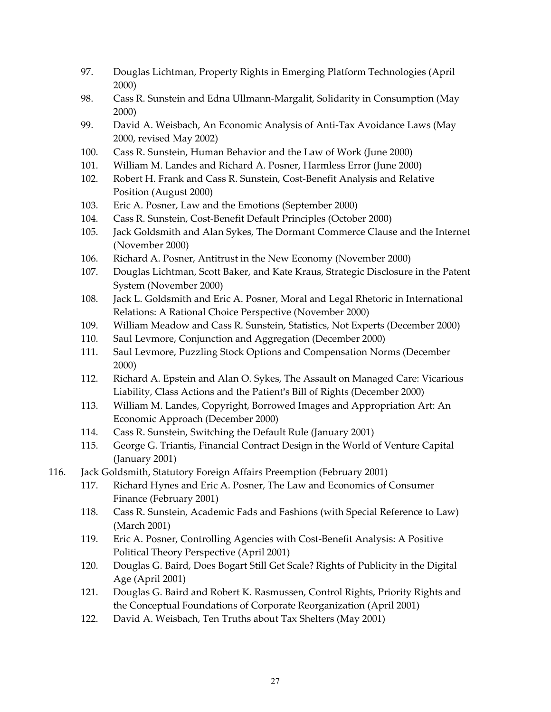- 97. Douglas Lichtman, Property Rights in Emerging Platform Technologies (Apri l 2000)
- 98. Cass R. Sunstein and Edna Ullmann-Margalit, Solidarity in Consumption (May 2000)
- ) 2000, revised May 2002 99. David A. Weisbach, An Economic Analysis of Anti-Tax Avoidance Laws (May
- 100. Cass R. Sunstein, Human Behavior and the Law of Work (June 2000)
- 101. William M. Landes and Richard A. Posner, Harmless Error (June 2000)
- 102. Robert H. Frank and Cass R. Sunstein, Cost-Benefit Analysis and Relative Position (August 2000)
- 103. Eric A. Posner, Law and the Emotions (September 2000)
- 104. Cass R. Sunstein, Cost-Benefit Default Principles (October 2000)
- 105. Jack Goldsmith and Alan Sykes, The Dormant Commerce Clause and the Internet (November 2000)
- 106. Richard A. Posner, Antitrust in the New Economy (November 2000)
- 107. Douglas Lichtman, Scott Baker, and Kate Kraus, Strategic Disclosure in the Patent System (November 2000)
- Relations: A Rational Choice Perspective (November 2000) 108. Jack L. Goldsmith and Eric A. Posner, Moral and Legal Rhetoric in International
- 109. William Meadow and Cass R. Sunstein, Statistics, Not Experts (December 2000)
- 110. Saul Levmore, Conjunction and Aggregation (December 2000)
- 111. Saul Levmore, Puzzling Stock Options and Compensation Norms (December 2000)
- 112. Richard A. Epstein and Alan O. Sykes, The Assault on Managed Care: Vicarious Liability, Class Actions and the Patient's Bill of Rights (December 2000)
- 113. William M. Landes, Copyright, Borrowed Images and Appropriation Art: An Economic Approach (December 2000)
- 114. Cass R. Sunstein, Switching the Default Rule (January 2001)
- 115. George G. Triantis, Financial Contract Design in the World of Venture Capital (January 2001)
- 116. Jack Goldsmith, Statutory Foreign Affairs Preemption (February 2001)
	- 117. Richard Hynes and Eric A. Posner, The Law and Economics of Consumer Finance (February 2001)
	- 118. Cass R. Sunstein, Academic Fads and Fashions (with Special Reference to Law) (March 2001)
	- 119. Eric A. Posner, Controlling Agencies with Cost-Benefit Analysis: A Positive Political Theory Perspective (April 2001)
	- 120. Douglas G. Baird, Does Bogart Still Get Scale? Rights of Publicity in the Digital Age (April 2001)
	- 121. Douglas G. Baird and Robert K. Rasmussen, Control Rights, Priority Rights and the Conceptual Foundations of Corporate Reorganization (April 2001)
	- 122. David A. Weisbach, Ten Truths about Tax Shelters (May 2001)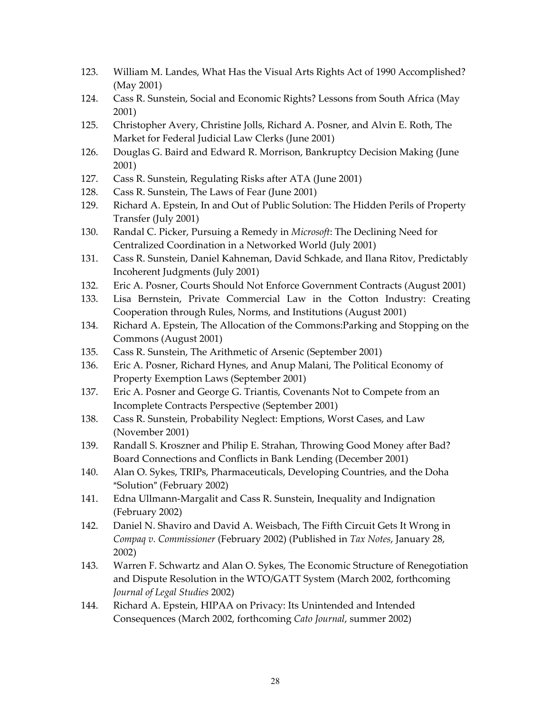- 123. William M. Landes, What Has the Visual Arts Rights Act of 1990 Accomplished ? (May 2 001)
- 124. Cass R. Sunstein, Social and Economic Rights? Lessons from South Africa (May 2001)
- Market for Federal Judicial Law Clerks (June 2001) 125. Christopher Avery, Christine Jolls, Richard A. Posner, and Alvin E. Roth, The
- 126. Douglas G. Baird and Edward R. Morrison, Bankruptcy Decision Making (June 2001)
- 127. Cass R. Sunstein, Regulating Risks after ATA (June 2001)
- 128. Cass R. Sunstein, The Laws of Fear (June 2001)
- 129. Richard A. Epstein, In and Out of Public Solution: The Hidden Perils of Property Transfer (July 2001)
- Centralized Coordination in a Networked World (July 2001) 130. Randal C. Picker, Pursuing a Remedy in *Microsoft*: The Declining Need for
- 131. Cass R. Sunstein, Daniel Kahneman, David Schkade, and Ilana Ritov, Predictably Incoherent Judgments (July 2001)
- 132. Eric A. Posner, Courts Should Not Enforce Government Contracts (August 2001)
- Cooperation through Rules, Norms, and Institutions (August 2001) 133. Lisa Bernstein, Private Commercial Law in the Cotton Industry: Creating
- 134. Richard A. Epstein, The Allocation of the Commons:Parking and Stopping on the Commons (August 2001)
- 135. Cass R. Sunstein, The Arithmetic of Arsenic (September 2001)
- 136. Eric A. Posner, Richard Hynes, and Anup Malani, The Political Economy of Property Exemption Laws (September 2001)
- 137. Eric A. Posner and George G. Triantis, Covenants Not to Compete from an Incomplete Contracts Perspective (September 2001)
- 138. Cass R. Sunstein, Probability Neglect: Emptions, Worst Cases, and Law (November 2001)
- Board Connections and Conflicts in Bank Lending (December 2001) 139. Randall S. Kroszner and Philip E. Strahan, Throwing Good Money after Bad?
- 140. Alan O. Sykes, TRIPs, Pharmaceuticals, Developing Countries, and the Doha "Solution" (February 2002)
- 141. Edna Ullmann-Margalit and Cass R. Sunstein, Inequality and Indignation  $\,$ (February 2002)
- 142. Daniel N. Shaviro and David A. Weisbach, The Fifth Circuit Gets It Wrong in *Compaq v. Commissioner* (February 2002) (Published in *Tax Notes*, January 28, 2002)
- 143. Warren F. Schwartz and Alan O. Sykes, The Economic Structure of Renegotiation and Dispute Resolution in the WTO/GATT System (March 2002, forthcoming *Journal of Legal Studies* 2002)
- 144. Consequences (March 2002, forthcoming *Cato Journal*, summer 2002) Richard A. Epstein, HIPAA on Privacy: Its Unintended and Intended